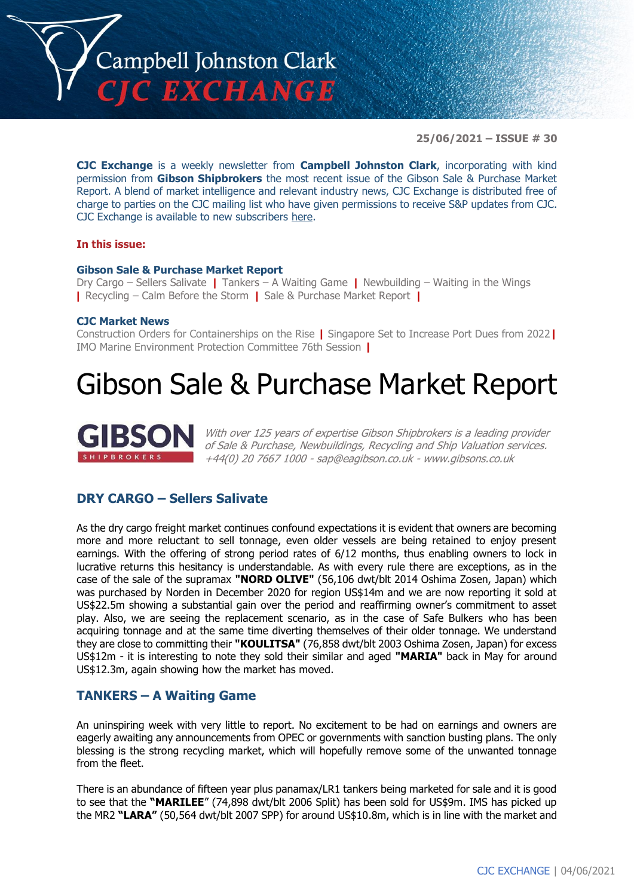

**25/06/2021 – ISSUE # 30**

**CJC Exchange** is a weekly newsletter from **Campbell Johnston Clark**, incorporating with kind permission from **Gibson Shipbrokers** the most recent issue of the Gibson Sale & Purchase Market Report. A blend of market intelligence and relevant industry news, CJC Exchange is distributed free of charge to parties on the CJC mailing list who have given permissions to receive S&P updates from CJC. CJC Exchange is available to new subscribers [here.](mailto:jamesc@cjclaw.com?subject=CJC%20Exchange%20sign-up)

#### **In this issue:**

#### **Gibson Sale & Purchase Market Report**

Dry Cargo – Sellers Salivate **|** Tankers – A Waiting Game **|** Newbuilding – Waiting in the Wings **|** Recycling – Calm Before the Storm **|** Sale & Purchase Market Report **|**

#### **CJC Market News**

Construction Orders for Containerships on the Rise **|** Singapore Set to Increase Port Dues from 2022**|** IMO Marine Environment Protection Committee 76th Session **|**

# Gibson Sale & Purchase Market Report



With over 125 years of expertise Gibson Shipbrokers is a leading provider of Sale & Purchase, Newbuildings, Recycling and Ship Valuation services. +44(0) 20 7667 1000 - [sap@eagibson.co.uk](mailto:sap@eagibson.co.uk) - [www.gibsons.co.uk](https://protect-eu.mimecast.com/s/VO6nCGZzRS60KqcK1jQh/)

## **DRY CARGO – Sellers Salivate**

As the dry cargo freight market continues confound expectations it is evident that owners are becoming more and more reluctant to sell tonnage, even older vessels are being retained to enjoy present earnings. With the offering of strong period rates of 6/12 months, thus enabling owners to lock in lucrative returns this hesitancy is understandable. As with every rule there are exceptions, as in the case of the sale of the supramax **"NORD OLIVE"** (56,106 dwt/blt 2014 Oshima Zosen, Japan) which was purchased by Norden in December 2020 for region US\$14m and we are now reporting it sold at US\$22.5m showing a substantial gain over the period and reaffirming owner's commitment to asset play. Also, we are seeing the replacement scenario, as in the case of Safe Bulkers who has been acquiring tonnage and at the same time diverting themselves of their older tonnage. We understand they are close to committing their **"KOULITSA"** (76,858 dwt/blt 2003 Oshima Zosen, Japan) for excess US\$12m - it is interesting to note they sold their similar and aged **"MARIA"** back in May for around US\$12.3m, again showing how the market has moved.

#### **TANKERS – A Waiting Game**

An uninspiring week with very little to report. No excitement to be had on earnings and owners are eagerly awaiting any announcements from OPEC or governments with sanction busting plans. The only blessing is the strong recycling market, which will hopefully remove some of the unwanted tonnage from the fleet.

There is an abundance of fifteen year plus panamax/LR1 tankers being marketed for sale and it is good to see that the **"MARILEE**" (74,898 dwt/blt 2006 Split) has been sold for US\$9m. IMS has picked up the MR2 **"LARA"** (50,564 dwt/blt 2007 SPP) for around US\$10.8m, which is in line with the market and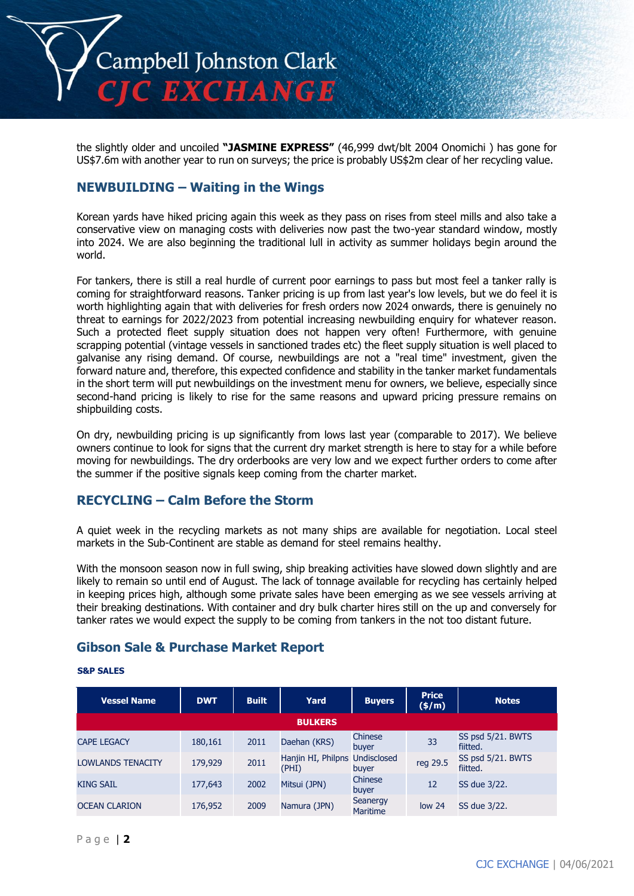

the slightly older and uncoiled **"JASMINE EXPRESS"** (46,999 dwt/blt 2004 Onomichi ) has gone for US\$7.6m with another year to run on surveys; the price is probably US\$2m clear of her recycling value.

### **NEWBUILDING – Waiting in the Wings**

Korean yards have hiked pricing again this week as they pass on rises from steel mills and also take a conservative view on managing costs with deliveries now past the two-year standard window, mostly into 2024. We are also beginning the traditional lull in activity as summer holidays begin around the world.

For tankers, there is still a real hurdle of current poor earnings to pass but most feel a tanker rally is coming for straightforward reasons. Tanker pricing is up from last year's low levels, but we do feel it is worth highlighting again that with deliveries for fresh orders now 2024 onwards, there is genuinely no threat to earnings for 2022/2023 from potential increasing newbuilding enquiry for whatever reason. Such a protected fleet supply situation does not happen very often! Furthermore, with genuine scrapping potential (vintage vessels in sanctioned trades etc) the fleet supply situation is well placed to galvanise any rising demand. Of course, newbuildings are not a "real time" investment, given the forward nature and, therefore, this expected confidence and stability in the tanker market fundamentals in the short term will put newbuildings on the investment menu for owners, we believe, especially since second-hand pricing is likely to rise for the same reasons and upward pricing pressure remains on shipbuilding costs.

On dry, newbuilding pricing is up significantly from lows last year (comparable to 2017). We believe owners continue to look for signs that the current dry market strength is here to stay for a while before moving for newbuildings. The dry orderbooks are very low and we expect further orders to come after the summer if the positive signals keep coming from the charter market.

## **RECYCLING – Calm Before the Storm**

A quiet week in the recycling markets as not many ships are available for negotiation. Local steel markets in the Sub-Continent are stable as demand for steel remains healthy.

With the monsoon season now in full swing, ship breaking activities have slowed down slightly and are likely to remain so until end of August. The lack of tonnage available for recycling has certainly helped in keeping prices high, although some private sales have been emerging as we see vessels arriving at their breaking destinations. With container and dry bulk charter hires still on the up and conversely for tanker rates we would expect the supply to be coming from tankers in the not too distant future.

## **Gibson Sale & Purchase Market Report**

#### **S&P SALES**

| <b>Vessel Name</b>       | <b>DWT</b> | <b>Built</b> | Yard                                    | <b>Buyers</b>               | <b>Price</b><br>$(\frac{\epsilon}{m})$ | <b>Notes</b>                  |  |
|--------------------------|------------|--------------|-----------------------------------------|-----------------------------|----------------------------------------|-------------------------------|--|
| <b>BULKERS</b>           |            |              |                                         |                             |                                        |                               |  |
| <b>CAPE LEGACY</b>       | 180,161    | 2011         | Daehan (KRS)                            | Chinese<br>buyer            | 33                                     | SS psd 5/21. BWTS<br>fiitted. |  |
| <b>LOWLANDS TENACITY</b> | 179,929    | 2011         | Hanjin HI, Philpns Undisclosed<br>(PHI) | buyer                       | reg 29.5                               | SS psd 5/21. BWTS<br>fiitted. |  |
| <b>KING SAIL</b>         | 177,643    | 2002         | Mitsui (JPN)                            | Chinese<br>buyer            | 12                                     | SS due 3/22.                  |  |
| <b>OCEAN CLARION</b>     | 176,952    | 2009         | Namura (JPN)                            | Seanergy<br><b>Maritime</b> | low <sub>24</sub>                      | SS due 3/22.                  |  |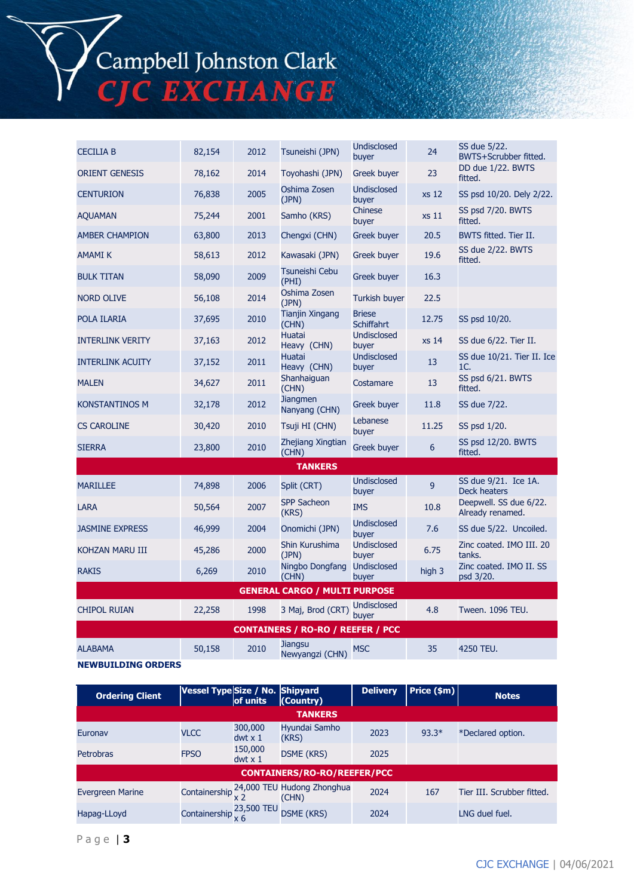Campbell Johnston Clark<br>CJC EXCHANGE

| <b>CECILIA B</b>                         | 82,154 | 2012 | Tsuneishi (JPN)                  | Undisclosed<br>buyer               | 24             | SS due 5/22.<br>BWTS+Scrubber fitted.       |  |
|------------------------------------------|--------|------|----------------------------------|------------------------------------|----------------|---------------------------------------------|--|
| <b>ORIENT GENESIS</b>                    | 78,162 | 2014 | Toyohashi (JPN)                  | Greek buyer                        | 23             | DD due 1/22. BWTS<br>fitted.                |  |
| <b>CENTURION</b>                         | 76,838 | 2005 | Oshima Zosen<br>(JPN)            | <b>Undisclosed</b><br>buyer        | <b>xs 12</b>   | SS psd 10/20. Dely 2/22.                    |  |
| <b>AQUAMAN</b>                           | 75,244 | 2001 | Samho (KRS)                      | Chinese<br>buyer                   | xs 11          | SS psd 7/20. BWTS<br>fitted.                |  |
| <b>AMBER CHAMPION</b>                    | 63,800 | 2013 | Chengxi (CHN)                    | Greek buyer                        | 20.5           | BWTS fitted. Tier II.                       |  |
| AMAMI K                                  | 58,613 | 2012 | Kawasaki (JPN)                   | Greek buyer                        | 19.6           | SS due 2/22. BWTS<br>fitted.                |  |
| <b>BULK TITAN</b>                        | 58,090 | 2009 | Tsuneishi Cebu<br>(PHI)          | Greek buyer                        | 16.3           |                                             |  |
| <b>NORD OLIVE</b>                        | 56,108 | 2014 | Oshima Zosen<br>(JPN)            | <b>Turkish buyer</b>               | 22.5           |                                             |  |
| POLA ILARIA                              | 37,695 | 2010 | Tianjin Xingang<br>(CHN)         | <b>Briese</b><br><b>Schiffahrt</b> | 12.75          | SS psd 10/20.                               |  |
| <b>INTERLINK VERITY</b>                  | 37,163 | 2012 | Huatai<br>Heavy (CHN)            | <b>Undisclosed</b><br>buyer        | xs 14          | SS due 6/22. Tier II.                       |  |
| <b>INTERLINK ACUITY</b>                  | 37,152 | 2011 | Huatai<br>Heavy (CHN)            | <b>Undisclosed</b><br>buyer        | 13             | SS due 10/21. Tier II. Ice<br>1C.           |  |
| <b>MALEN</b>                             | 34,627 | 2011 | Shanhaiguan<br>(CHN)             | Costamare                          | 13             | SS psd 6/21. BWTS<br>fitted.                |  |
| <b>KONSTANTINOS M</b>                    | 32,178 | 2012 | <b>Jiangmen</b><br>Nanyang (CHN) | Greek buyer                        | 11.8           | SS due 7/22.                                |  |
| <b>CS CAROLINE</b>                       | 30,420 | 2010 | Tsuji HI (CHN)                   | Lebanese<br>buyer                  | 11.25          | SS psd 1/20.                                |  |
| <b>SIERRA</b>                            | 23,800 | 2010 | Zhejiang Xingtian<br>(CHN)       | <b>Greek buyer</b>                 | 6              | SS psd 12/20. BWTS<br>fitted.               |  |
| <b>TANKERS</b>                           |        |      |                                  |                                    |                |                                             |  |
| <b>MARILLEE</b>                          | 74,898 | 2006 | Split (CRT)                      | <b>Undisclosed</b><br>buyer        | $\overline{9}$ | SS due 9/21. Ice 1A.<br><b>Deck heaters</b> |  |
| LARA                                     | 50,564 | 2007 | <b>SPP Sacheon</b><br>(KRS)      | <b>IMS</b>                         | 10.8           | Deepwell. SS due 6/22.<br>Already renamed.  |  |
| <b>JASMINE EXPRESS</b>                   | 46,999 | 2004 | Onomichi (JPN)                   | <b>Undisclosed</b><br>buyer        | 7.6            | SS due 5/22. Uncoiled.                      |  |
| KOHZAN MARU III                          | 45,286 | 2000 | Shin Kurushima<br>(JPN)          | Undisclosed<br>buyer               | 6.75           | Zinc coated. IMO III. 20<br>tanks.          |  |
| <b>RAKIS</b>                             | 6,269  | 2010 | Ningbo Dongfang<br>(CHN)         | <b>Undisclosed</b><br>buyer        | high 3         | Zinc coated. IMO II. SS<br>psd 3/20.        |  |
| <b>GENERAL CARGO / MULTI PURPOSE</b>     |        |      |                                  |                                    |                |                                             |  |
| <b>CHIPOL RUIAN</b>                      | 22,258 | 1998 | 3 Maj, Brod (CRT)                | Undisclosed<br>buyer               | 4.8            | Tween. 1096 TEU.                            |  |
| <b>CONTAINERS / RO-RO / REEFER / PCC</b> |        |      |                                  |                                    |                |                                             |  |
| <b>ALABAMA</b>                           | 50,158 | 2010 | Jiangsu<br>Newyangzi (CHN)       | <b>MSC</b>                         | 35             | 4250 TEU.                                   |  |

**NEWBUILDING ORDERS**

**Ordering Client Vessel Type Size / No. of units Shipyard (Country) Delivery Price (\$m) Notes TANKERS** Euronav VLCC 300,000 dwt x 1 Hyundai Samho 2023 93.3\* \*Declared option. Petrobras FPSO 150,000 DSME (KRS) 2025 **CONTAINERS/RO-RO/REEFER/PCC** Evergreen Marine **Containership**  $\frac{24,000 \text{ TEU}}{x \text{ 2}}$ Hudong Zhonghua (CHN) <sup>2024</sup> <sup>167</sup> Tier III. Scrubber fitted. Hapag-LLoyd Containership  $\frac{23,500 \text{ TEU}}{x 6}$  DSME (KRS) 2024 LNG duel fuel.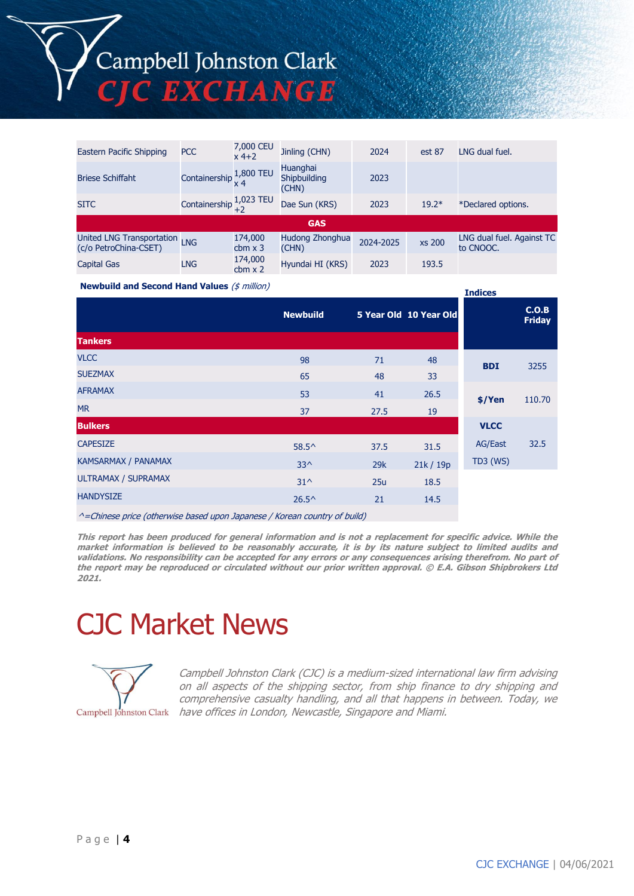| Eastern Pacific Shipping                           | <b>PCC</b>                           | 7,000 CEU<br>x 4+2        | Jinling (CHN)                            | 2024      | est 87        | LNG dual fuel.                         |  |
|----------------------------------------------------|--------------------------------------|---------------------------|------------------------------------------|-----------|---------------|----------------------------------------|--|
| <b>Briese Schiffaht</b>                            | Containership $\frac{1,800}{x}$ TEU  |                           | <b>Huanghai</b><br>Shipbuilding<br>(CHN) | 2023      |               |                                        |  |
| <b>SITC</b>                                        | Containership $\frac{1,023}{+2}$ TEU |                           | Dae Sun (KRS)                            | 2023      | $19.2*$       | *Declared options.                     |  |
| <b>GAS</b>                                         |                                      |                           |                                          |           |               |                                        |  |
| United LNG Transportation<br>(c/o PetroChina-CSET) | <b>LNG</b>                           | 174,000<br>cbm $\times$ 3 | Hudong Zhonghua<br>(CHN)                 | 2024-2025 | <b>xs 200</b> | LNG dual fuel. Against TC<br>to CNOOC. |  |
| <b>Capital Gas</b>                                 | <b>LNG</b>                           | 174,000<br>$cbm \times 2$ | Hyundai HI (KRS)                         | 2023      | 193.5         |                                        |  |

**Indices**

**Newbuild and Second Hand Values** (\$ million)

| <b>Tankers</b>             | <b>Newbuild</b> |      | 5 Year Old 10 Year Old |                 | C.O.B<br><b>Friday</b> |
|----------------------------|-----------------|------|------------------------|-----------------|------------------------|
|                            |                 |      |                        |                 |                        |
| <b>VLCC</b>                | 98              | 71   | 48                     | <b>BDI</b>      | 3255                   |
| <b>SUEZMAX</b>             | 65              | 48   | 33                     |                 |                        |
| <b>AFRAMAX</b>             | 53              | 41   | 26.5                   | $$$ /Yen        | 110.70                 |
| <b>MR</b>                  | 37              | 27.5 | 19                     |                 |                        |
| <b>Bulkers</b>             |                 |      |                        | <b>VLCC</b>     |                        |
| <b>CAPESIZE</b>            | $58.5^{\circ}$  | 37.5 | 31.5                   | <b>AG/East</b>  | 32.5                   |
| KAMSARMAX / PANAMAX        | $33^{\wedge}$   | 29k  | 21k/19p                | <b>TD3 (WS)</b> |                        |
| <b>ULTRAMAX / SUPRAMAX</b> | $31^{\circ}$    | 25u  | 18.5                   |                 |                        |
| <b>HANDYSIZE</b>           | $26.5^{\circ}$  | 21   | 14.5                   |                 |                        |
|                            |                 |      |                        |                 |                        |

^=Chinese price (otherwise based upon Japanese / Korean country of build)

**This report has been produced for general information and is not a replacement for specific advice. While the market information is believed to be reasonably accurate, it is by its nature subject to limited audits and validations. No responsibility can be accepted for any errors or any consequences arising therefrom. No part of the report may be reproduced or circulated without our prior written approval. © E.A. Gibson Shipbrokers Ltd 2021.**

# CJC Market News



Campbell Johnston Clark (CJC) is a medium-sized international law firm advising on all aspects of the shipping sector, from ship finance to dry shipping and comprehensive casualty handling, and all that happens in between. Today, we Campbell Johnston Clark have offices in London, Newcastle, Singapore and Miami.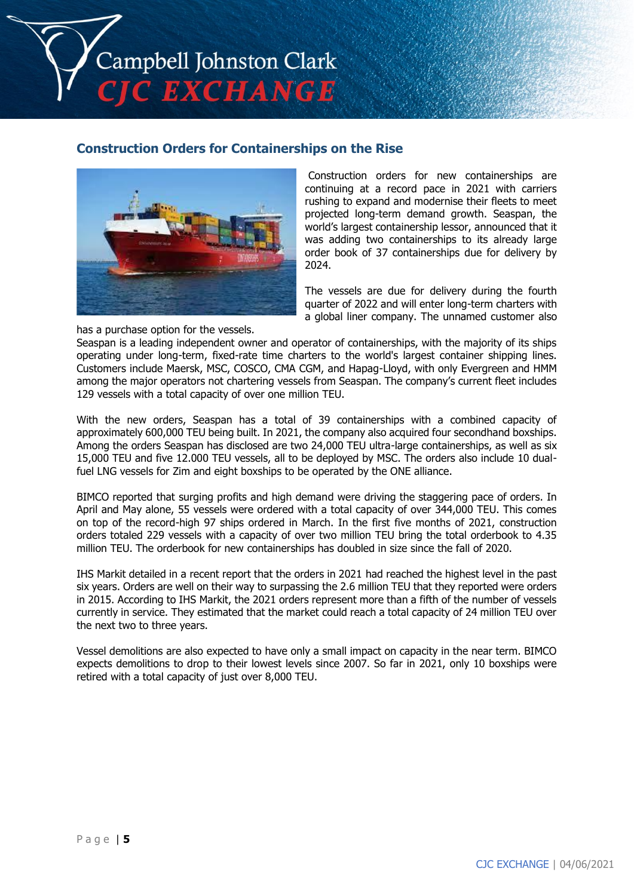Campbell Johnston Clark C EXCHANGE

#### **Construction Orders for Containerships on the Rise**



Construction orders for new containerships are continuing at a record pace in 2021 with carriers rushing to expand and modernise their fleets to meet projected long-term demand growth. Seaspan, the world's largest containership lessor, announced that it was adding two containerships to its already large order book of 37 containerships due for delivery by 2024.

The vessels are due for delivery during the fourth quarter of 2022 and will enter long-term charters with a global liner company. The unnamed customer also

has a purchase option for the vessels.

Seaspan is a leading independent owner and operator of containerships, with the majority of its ships operating under long-term, fixed-rate time charters to the world's largest container shipping lines. Customers include Maersk, MSC, COSCO, CMA CGM, and Hapag-Lloyd, with only Evergreen and HMM among the major operators not chartering vessels from Seaspan. The company's current fleet includes 129 vessels with a total capacity of over one million TEU.

With the new orders, Seaspan has a total of 39 containerships with a combined capacity of approximately 600,000 TEU being built. In 2021, the company also acquired four secondhand boxships. Among the orders Seaspan has disclosed are two 24,000 TEU ultra-large containerships, as well as six 15,000 TEU and five 12.000 TEU vessels, all to be deployed by MSC. The orders also include 10 dualfuel LNG vessels for Zim and eight boxships to be operated by the ONE alliance.

BIMCO reported that surging profits and high demand were driving the staggering pace of orders. In April and May alone, 55 vessels were ordered with a total capacity of over 344,000 TEU. This comes on top of the record-high 97 ships ordered in March. In the first five months of 2021, construction orders totaled 229 vessels with a capacity of over two million TEU bring the total orderbook to 4.35 million TEU. The orderbook for new containerships has doubled in size since the fall of 2020.

IHS Markit detailed in a recent report that the orders in 2021 had reached the highest level in the past six years. Orders are well on their way to surpassing the 2.6 million TEU that they reported were orders in 2015. According to IHS Markit, the 2021 orders represent more than a fifth of the number of vessels currently in service. They estimated that the market could reach a total capacity of 24 million TEU over the next two to three years.

Vessel demolitions are also expected to have only a small impact on capacity in the near term. BIMCO expects demolitions to drop to their lowest levels since 2007. So far in 2021, only 10 boxships were retired with a total capacity of just over 8,000 TEU.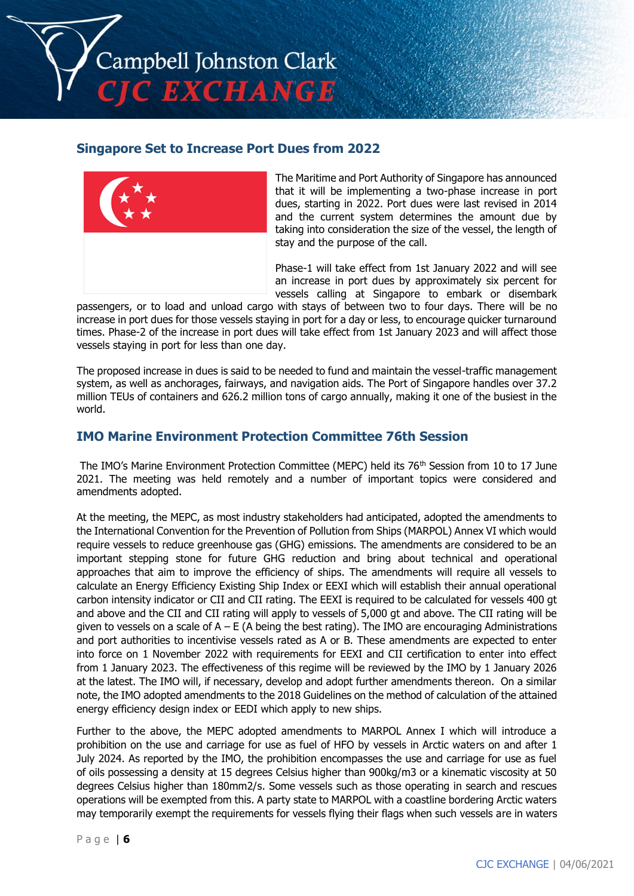Campbell Johnston Clark C EXCHANGE

## **Singapore Set to Increase Port Dues from 2022**



The Maritime and Port Authority of Singapore has announced that it will be implementing a two-phase increase in port dues, starting in 2022. Port dues were last revised in 2014 and the current system determines the amount due by taking into consideration the size of the vessel, the length of stay and the purpose of the call.

Phase-1 will take effect from 1st January 2022 and will see an increase in port dues by approximately six percent for vessels calling at Singapore to embark or disembark

passengers, or to load and unload cargo with stays of between two to four days. There will be no increase in port dues for those vessels staying in port for a day or less, to encourage quicker turnaround times. Phase-2 of the increase in port dues will take effect from 1st January 2023 and will affect those vessels staying in port for less than one day.

The proposed increase in dues is said to be needed to fund and maintain the vessel-traffic management system, as well as anchorages, fairways, and navigation aids. The Port of Singapore handles over 37.2 million TEUs of containers and 626.2 million tons of cargo annually, making it one of the busiest in the world.

## **IMO Marine Environment Protection Committee 76th Session**

The IMO's Marine Environment Protection Committee (MEPC) held its 76<sup>th</sup> Session from 10 to 17 June 2021. The meeting was held remotely and a number of important topics were considered and amendments adopted.

At the meeting, the MEPC, as most industry stakeholders had anticipated, adopted the amendments to the International Convention for the Prevention of Pollution from Ships (MARPOL) Annex VI which would require vessels to reduce greenhouse gas (GHG) emissions. The amendments are considered to be an important stepping stone for future GHG reduction and bring about technical and operational approaches that aim to improve the efficiency of ships. The amendments will require all vessels to calculate an Energy Efficiency Existing Ship Index or EEXI which will establish their annual operational carbon intensity indicator or CII and CII rating. The EEXI is required to be calculated for vessels 400 gt and above and the CII and CII rating will apply to vessels of 5,000 gt and above. The CII rating will be given to vessels on a scale of  $A - E$  (A being the best rating). The IMO are encouraging Administrations and port authorities to incentivise vessels rated as A or B. These amendments are expected to enter into force on 1 November 2022 with requirements for EEXI and CII certification to enter into effect from 1 January 2023. The effectiveness of this regime will be reviewed by the IMO by 1 January 2026 at the latest. The IMO will, if necessary, develop and adopt further amendments thereon. On a similar note, the IMO adopted amendments to the 2018 Guidelines on the method of calculation of the attained energy efficiency design index or EEDI which apply to new ships.

Further to the above, the MEPC adopted amendments to MARPOL Annex I which will introduce a prohibition on the use and carriage for use as fuel of HFO by vessels in Arctic waters on and after 1 July 2024. As reported by the IMO, the prohibition encompasses the use and carriage for use as fuel of oils possessing a density at 15 degrees Celsius higher than 900kg/m3 or a kinematic viscosity at 50 degrees Celsius higher than 180mm2/s. Some vessels such as those operating in search and rescues operations will be exempted from this. A party state to MARPOL with a coastline bordering Arctic waters may temporarily exempt the requirements for vessels flying their flags when such vessels are in waters